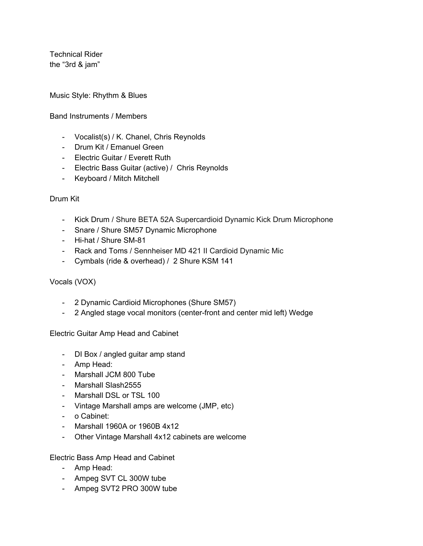Technical Rider the "3rd & jam"

Music Style: Rhythm & Blues

### Band Instruments / Members

- Vocalist(s) / K. Chanel, Chris Reynolds
- Drum Kit / Emanuel Green
- Electric Guitar / Everett Ruth
- Electric Bass Guitar (active) / Chris Reynolds
- Keyboard / Mitch Mitchell

## Drum Kit

- Kick Drum / Shure BETA 52A Supercardioid Dynamic Kick Drum Microphone
- Snare / Shure SM57 Dynamic Microphone
- Hi-hat / Shure SM-81
- Rack and Toms / Sennheiser MD 421 II Cardioid Dynamic Mic
- Cymbals (ride & overhead) / 2 Shure KSM 141

# Vocals (VOX)

- 2 Dynamic Cardioid Microphones (Shure SM57)
- 2 Angled stage vocal monitors (center-front and center mid left) Wedge

Electric Guitar Amp Head and Cabinet

- DI Box / angled guitar amp stand
- Amp Head:
- Marshall JCM 800 Tube
- Marshall Slash2555
- Marshall DSL or TSL 100
- Vintage Marshall amps are welcome (JMP, etc)
- o Cabinet:
- Marshall 1960A or 1960B 4x12
- Other Vintage Marshall 4x12 cabinets are welcome

Electric Bass Amp Head and Cabinet

- Amp Head:
- Ampeg SVT CL 300W tube
- Ampeg SVT2 PRO 300W tube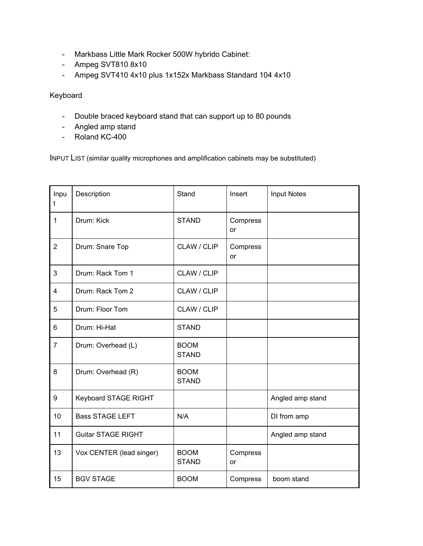- Markbass Little Mark Rocker 500W hybrido Cabinet:
- Ampeg SVT810 8x10
- Ampeg SVT410 4x10 plus 1x152x Markbass Standard 104 4x10

## Keyboard

- Double braced keyboard stand that can support up to 80 pounds
- Angled amp stand
- Roland KC-400

INPUT LIST (similar quality microphones and amplification cabinets may be substituted)

| Inpu<br>t      | Description               | Stand                       | Insert                | <b>Input Notes</b> |
|----------------|---------------------------|-----------------------------|-----------------------|--------------------|
| $\mathbf{1}$   | Drum: Kick                | <b>STAND</b>                | Compress<br>or        |                    |
| $\overline{2}$ | Drum: Snare Top           | CLAW / CLIP                 | Compress<br><b>or</b> |                    |
| 3              | Drum: Rack Tom 1          | CLAW / CLIP                 |                       |                    |
| 4              | Drum: Rack Tom 2          | CLAW / CLIP                 |                       |                    |
| 5              | Drum: Floor Tom           | CLAW / CLIP                 |                       |                    |
| 6              | Drum: Hi-Hat              | <b>STAND</b>                |                       |                    |
| $\overline{7}$ | Drum: Overhead (L)        | <b>BOOM</b><br><b>STAND</b> |                       |                    |
| 8              | Drum: Overhead (R)        | <b>BOOM</b><br><b>STAND</b> |                       |                    |
| 9              | Keyboard STAGE RIGHT      |                             |                       | Angled amp stand   |
| 10             | <b>Bass STAGE LEFT</b>    | N/A                         |                       | DI from amp        |
| 11             | <b>Guitar STAGE RIGHT</b> |                             |                       | Angled amp stand   |
| 13             | Vox CENTER (lead singer)  | <b>BOOM</b><br><b>STAND</b> | Compress<br><b>or</b> |                    |
| 15             | <b>BGV STAGE</b>          | <b>BOOM</b>                 | Compress              | boom stand         |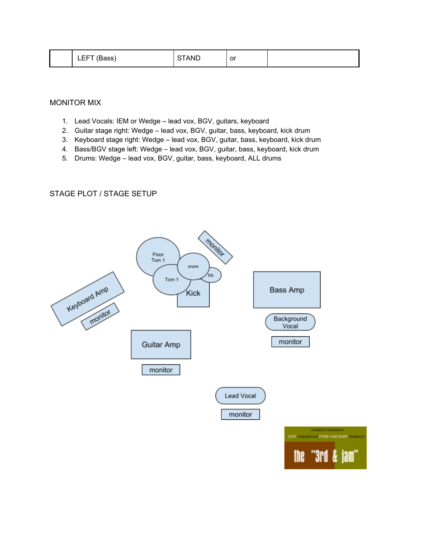| cc<br>_<br>DdSS.<br><u>__ .</u> | <b>ANL</b> | or |  |
|---------------------------------|------------|----|--|
|                                 |            |    |  |

MONITOR MIX

- 1. Lead Vocals: IEM or Wedge lead vox, BGV, guitars, keyboard
- 2. Guitar stage right: Wedge lead vox, BGV, guitar, bass, keyboard, kick drum
- 3. Keyboard stage right: Wedge lead vox, BGV, guitar, bass, keyboard, kick drum
- 4. Bass/BGV stage left: Wedge lead vox, BGV, guitar, bass, keyboard, kick drum
- 5. Drums: Wedge lead vox, BGV, guitar, bass, keyboard, ALL drums

#### STAGE PLOT / STAGE SETUP